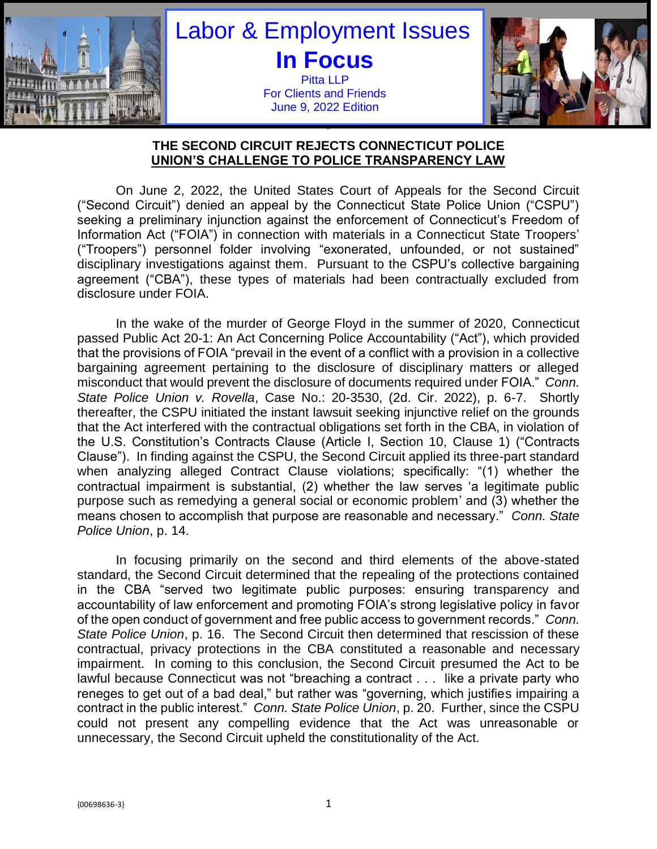

# Labor & Employment Issues **In Focus** Pitta LLP For Clients and Friends June 9, 2022 Edition



#### " **THE SECOND CIRCUIT REJECTS CONNECTICUT POLICE UNION'S CHALLENGE TO POLICE TRANSPARENCY LAW**

On June 2, 2022, the United States Court of Appeals for the Second Circuit ("Second Circuit") denied an appeal by the Connecticut State Police Union ("CSPU") seeking a preliminary injunction against the enforcement of Connecticut's Freedom of Information Act ("FOIA") in connection with materials in a Connecticut State Troopers' ("Troopers") personnel folder involving "exonerated, unfounded, or not sustained" disciplinary investigations against them. Pursuant to the CSPU's collective bargaining agreement ("CBA"), these types of materials had been contractually excluded from disclosure under FOIA.

In the wake of the murder of George Floyd in the summer of 2020, Connecticut passed Public Act 20-1: An Act Concerning Police Accountability ("Act"), which provided that the provisions of FOIA "prevail in the event of a conflict with a provision in a collective bargaining agreement pertaining to the disclosure of disciplinary matters or alleged misconduct that would prevent the disclosure of documents required under FOIA." *Conn. State Police Union v. Rovella*, Case No.: 20-3530, (2d. Cir. 2022), p. 6-7. Shortly thereafter, the CSPU initiated the instant lawsuit seeking injunctive relief on the grounds that the Act interfered with the contractual obligations set forth in the CBA, in violation of the U.S. Constitution's Contracts Clause (Article I, Section 10, Clause 1) ("Contracts Clause"). In finding against the CSPU, the Second Circuit applied its three-part standard when analyzing alleged Contract Clause violations; specifically: "(1) whether the contractual impairment is substantial, (2) whether the law serves 'a legitimate public purpose such as remedying a general social or economic problem' and (3) whether the means chosen to accomplish that purpose are reasonable and necessary." *Conn. State Police Union*, p. 14.

In focusing primarily on the second and third elements of the above-stated standard, the Second Circuit determined that the repealing of the protections contained in the CBA "served two legitimate public purposes: ensuring transparency and accountability of law enforcement and promoting FOIA's strong legislative policy in favor of the open conduct of government and free public access to government records." *Conn. State Police Union*, p. 16. The Second Circuit then determined that rescission of these contractual, privacy protections in the CBA constituted a reasonable and necessary impairment. In coming to this conclusion, the Second Circuit presumed the Act to be lawful because Connecticut was not "breaching a contract . . . like a private party who reneges to get out of a bad deal," but rather was "governing, which justifies impairing a contract in the public interest." *Conn. State Police Union*, p. 20. Further, since the CSPU could not present any compelling evidence that the Act was unreasonable or unnecessary, the Second Circuit upheld the constitutionality of the Act.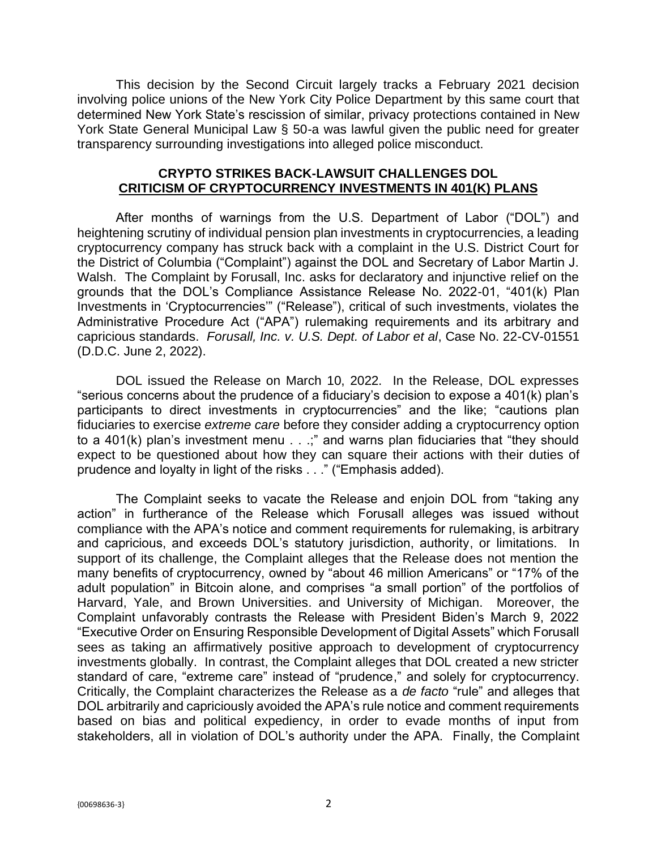This decision by the Second Circuit largely tracks a February 2021 decision involving police unions of the New York City Police Department by this same court that determined New York State's rescission of similar, privacy protections contained in New York State General Municipal Law § 50-a was lawful given the public need for greater transparency surrounding investigations into alleged police misconduct.

### **CRYPTO STRIKES BACK-LAWSUIT CHALLENGES DOL CRITICISM OF CRYPTOCURRENCY INVESTMENTS IN 401(K) PLANS**

After months of warnings from the U.S. Department of Labor ("DOL") and heightening scrutiny of individual pension plan investments in cryptocurrencies, a leading cryptocurrency company has struck back with a complaint in the U.S. District Court for the District of Columbia ("Complaint") against the DOL and Secretary of Labor Martin J. Walsh. The Complaint by Forusall, Inc. asks for declaratory and injunctive relief on the grounds that the DOL's Compliance Assistance Release No. 2022-01, "401(k) Plan Investments in 'Cryptocurrencies'" ("Release"), critical of such investments, violates the Administrative Procedure Act ("APA") rulemaking requirements and its arbitrary and capricious standards. *Forusall, Inc. v. U.S. Dept. of Labor et al*, Case No. 22-CV-01551 (D.D.C. June 2, 2022).

DOL issued the Release on March 10, 2022. In the Release, DOL expresses "serious concerns about the prudence of a fiduciary's decision to expose a 401(k) plan's participants to direct investments in cryptocurrencies" and the like; "cautions plan fiduciaries to exercise *extreme care* before they consider adding a cryptocurrency option to a 401(k) plan's investment menu . . .;" and warns plan fiduciaries that "they should expect to be questioned about how they can square their actions with their duties of prudence and loyalty in light of the risks . . ." ("Emphasis added).

The Complaint seeks to vacate the Release and enjoin DOL from "taking any action" in furtherance of the Release which Forusall alleges was issued without compliance with the APA's notice and comment requirements for rulemaking, is arbitrary and capricious, and exceeds DOL's statutory jurisdiction, authority, or limitations. In support of its challenge, the Complaint alleges that the Release does not mention the many benefits of cryptocurrency, owned by "about 46 million Americans" or "17% of the adult population" in Bitcoin alone, and comprises "a small portion" of the portfolios of Harvard, Yale, and Brown Universities. and University of Michigan. Moreover, the Complaint unfavorably contrasts the Release with President Biden's March 9, 2022 "Executive Order on Ensuring Responsible Development of Digital Assets" which Forusall sees as taking an affirmatively positive approach to development of cryptocurrency investments globally. In contrast, the Complaint alleges that DOL created a new stricter standard of care, "extreme care" instead of "prudence," and solely for cryptocurrency. Critically, the Complaint characterizes the Release as a *de facto* "rule" and alleges that DOL arbitrarily and capriciously avoided the APA's rule notice and comment requirements based on bias and political expediency, in order to evade months of input from stakeholders, all in violation of DOL's authority under the APA. Finally, the Complaint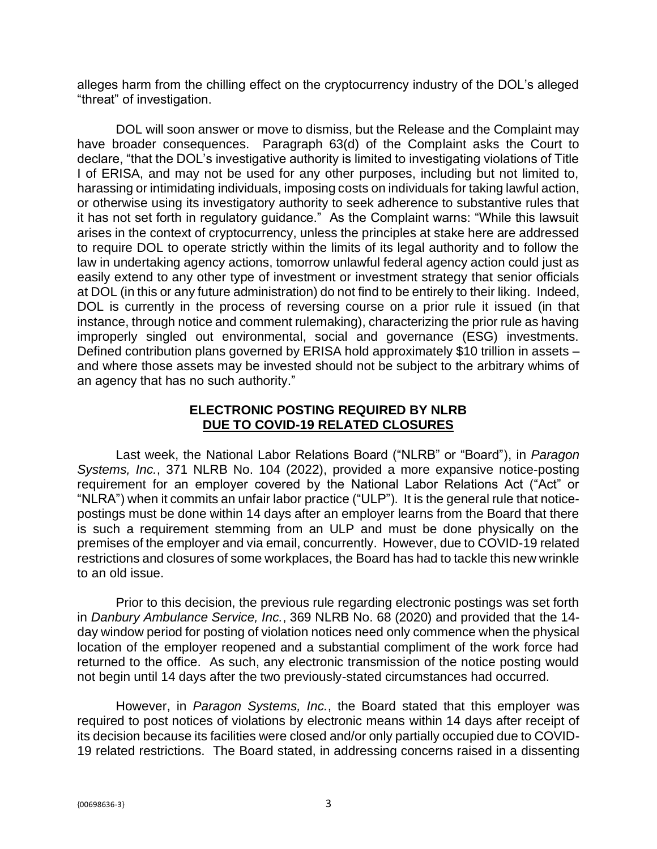alleges harm from the chilling effect on the cryptocurrency industry of the DOL's alleged "threat" of investigation.

DOL will soon answer or move to dismiss, but the Release and the Complaint may have broader consequences. Paragraph 63(d) of the Complaint asks the Court to declare, "that the DOL's investigative authority is limited to investigating violations of Title I of ERISA, and may not be used for any other purposes, including but not limited to, harassing or intimidating individuals, imposing costs on individuals for taking lawful action, or otherwise using its investigatory authority to seek adherence to substantive rules that it has not set forth in regulatory guidance." As the Complaint warns: "While this lawsuit arises in the context of cryptocurrency, unless the principles at stake here are addressed to require DOL to operate strictly within the limits of its legal authority and to follow the law in undertaking agency actions, tomorrow unlawful federal agency action could just as easily extend to any other type of investment or investment strategy that senior officials at DOL (in this or any future administration) do not find to be entirely to their liking. Indeed, DOL is currently in the process of reversing course on a prior rule it issued (in that instance, through notice and comment rulemaking), characterizing the prior rule as having improperly singled out environmental, social and governance (ESG) investments. Defined contribution plans governed by ERISA hold approximately \$10 trillion in assets – and where those assets may be invested should not be subject to the arbitrary whims of an agency that has no such authority."

## **ELECTRONIC POSTING REQUIRED BY NLRB DUE TO COVID-19 RELATED CLOSURES**

Last week, the National Labor Relations Board ("NLRB" or "Board"), in *Paragon Systems, Inc.*, 371 NLRB No. 104 (2022), provided a more expansive notice-posting requirement for an employer covered by the National Labor Relations Act ("Act" or "NLRA") when it commits an unfair labor practice ("ULP"). It is the general rule that noticepostings must be done within 14 days after an employer learns from the Board that there is such a requirement stemming from an ULP and must be done physically on the premises of the employer and via email, concurrently. However, due to COVID-19 related restrictions and closures of some workplaces, the Board has had to tackle this new wrinkle to an old issue.

Prior to this decision, the previous rule regarding electronic postings was set forth in *Danbury Ambulance Service, Inc.*, 369 NLRB No. 68 (2020) and provided that the 14 day window period for posting of violation notices need only commence when the physical location of the employer reopened and a substantial compliment of the work force had returned to the office. As such, any electronic transmission of the notice posting would not begin until 14 days after the two previously-stated circumstances had occurred.

However, in *Paragon Systems, Inc.*, the Board stated that this employer was required to post notices of violations by electronic means within 14 days after receipt of its decision because its facilities were closed and/or only partially occupied due to COVID-19 related restrictions. The Board stated, in addressing concerns raised in a dissenting